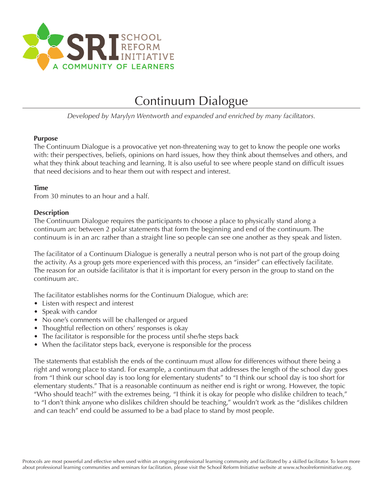

# Continuum Dialogue

*Developed by Marylyn Wentworth and expanded and enriched by many facilitators.*

### **Purpose**

The Continuum Dialogue is a provocative yet non-threatening way to get to know the people one works with: their perspectives, beliefs, opinions on hard issues, how they think about themselves and others, and what they think about teaching and learning. It is also useful to see where people stand on difficult issues that need decisions and to hear them out with respect and interest.

# **Time**

From 30 minutes to an hour and a half.

### **Description**

The Continuum Dialogue requires the participants to choose a place to physically stand along a continuum arc between 2 polar statements that form the beginning and end of the continuum. The continuum is in an arc rather than a straight line so people can see one another as they speak and listen.

The facilitator of a Continuum Dialogue is generally a neutral person who is not part of the group doing the activity. As a group gets more experienced with this process, an "insider" can effectively facilitate. The reason for an outside facilitator is that it is important for every person in the group to stand on the continuum arc.

The facilitator establishes norms for the Continuum Dialogue, which are:

- Listen with respect and interest
- Speak with candor
- No one's comments will be challenged or argued
- Thoughtful reflection on others' responses is okay
- The facilitator is responsible for the process until she/he steps back
- When the facilitator steps back, everyone is responsible for the process

The statements that establish the ends of the continuum must allow for differences without there being a right and wrong place to stand. For example, a continuum that addresses the length of the school day goes from "I think our school day is too long for elementary students" to "I think our school day is too short for elementary students." That is a reasonable continuum as neither end is right or wrong. However, the topic "Who should teach?" with the extremes being, "I think it is okay for people who dislike children to teach," to "I don't think anyone who dislikes children should be teaching," wouldn't work as the "dislikes children and can teach" end could be assumed to be a bad place to stand by most people.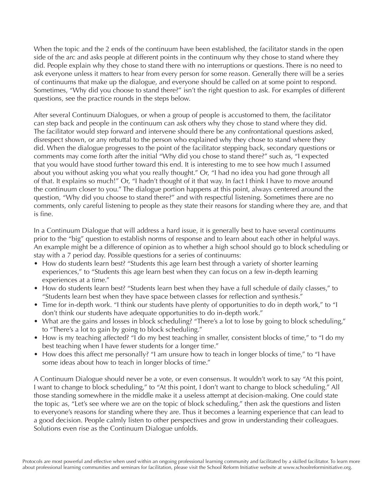When the topic and the 2 ends of the continuum have been established, the facilitator stands in the open side of the arc and asks people at different points in the continuum why they chose to stand where they did. People explain why they chose to stand there with no interruptions or questions. There is no need to ask everyone unless it matters to hear from every person for some reason. Generally there will be a series of continuums that make up the dialogue, and everyone should be called on at some point to respond. Sometimes, "Why did you choose to stand there?" isn't the right question to ask. For examples of different questions, see the practice rounds in the steps below.

After several Continuum Dialogues, or when a group of people is accustomed to them, the facilitator can step back and people in the continuum can ask others why they chose to stand where they did. The facilitator would step forward and intervene should there be any confrontational questions asked, disrespect shown, or any rebuttal to the person who explained why they chose to stand where they did. When the dialogue progresses to the point of the facilitator stepping back, secondary questions or comments may come forth after the initial "Why did you chose to stand there?" such as, "I expected that you would have stood further toward this end. It is interesting to me to see how much I assumed about you without asking you what you really thought." Or, "I had no idea you had gone through all of that. It explains so much!" Or, "I hadn't thought of it that way. In fact I think I have to move around the continuum closer to you." The dialogue portion happens at this point, always centered around the question, "Why did you choose to stand there?" and with respectful listening. Sometimes there are no comments, only careful listening to people as they state their reasons for standing where they are, and that is fine.

In a Continuum Dialogue that will address a hard issue, it is generally best to have several continuums prior to the "big" question to establish norms of response and to learn about each other in helpful ways. An example might be a difference of opinion as to whether a high school should go to block scheduling or stay with a 7 period day. Possible questions for a series of continuums:

- How do students learn best? "Students this age learn best through a variety of shorter learning experiences," to "Students this age learn best when they can focus on a few in-depth learning experiences at a time."
- How do students learn best? "Students learn best when they have a full schedule of daily classes," to "Students learn best when they have space between classes for reflection and synthesis."
- Time for in-depth work. "I think our students have plenty of opportunities to do in depth work," to "I don't think our students have adequate opportunities to do in-depth work."
- What are the gains and losses in block scheduling? "There's a lot to lose by going to block scheduling," to "There's a lot to gain by going to block scheduling."
- How is my teaching affected? "I do my best teaching in smaller, consistent blocks of time," to "I do my best teaching when I have fewer students for a longer time."
- How does this affect me personally? "I am unsure how to teach in longer blocks of time," to "I have some ideas about how to teach in longer blocks of time."

A Continuum Dialogue should never be a vote, or even consensus. It wouldn't work to say "At this point, I want to change to block scheduling," to "At this point, I don't want to change to block scheduling." All those standing somewhere in the middle make it a useless attempt at decision-making. One could state the topic as, "Let's see where we are on the topic of block scheduling," then ask the questions and listen to everyone's reasons for standing where they are. Thus it becomes a learning experience that can lead to a good decision. People calmly listen to other perspectives and grow in understanding their colleagues. Solutions even rise as the Continuum Dialogue unfolds.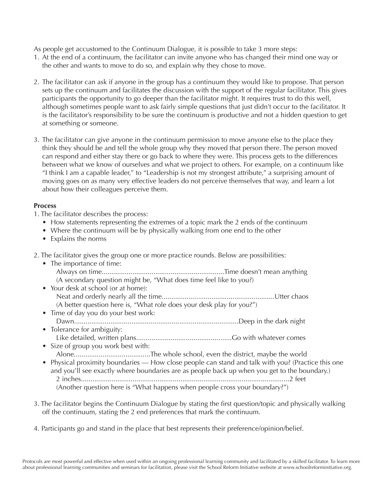As people get accustomed to the Continuum Dialogue, it is possible to take 3 more steps:

- 1. At the end of a continuum, the facilitator can invite anyone who has changed their mind one way or the other and wants to move to do so, and explain why they chose to move.
- 2. The facilitator can ask if anyone in the group has a continuum they would like to propose. That person sets up the continuum and facilitates the discussion with the support of the regular facilitator. This gives participants the opportunity to go deeper than the facilitator might. It requires trust to do this well, although sometimes people want to ask fairly simple questions that just didn't occur to the facilitator. It is the facilitator's responsibility to be sure the continuum is productive and not a hidden question to get at something or someone.
- 3. The facilitator can give anyone in the continuum permission to move anyone else to the place they think they should be and tell the whole group why they moved that person there. The person moved can respond and either stay there or go back to where they were. This process gets to the differences between what we know of ourselves and what we project to others. For example, on a continuum like "I think I am a capable leader," to "Leadership is not my strongest attribute," a surprising amount of moving goes on as many very effective leaders do not perceive themselves that way, and learn a lot about how their colleagues perceive them.

# **Process**

- 1. The facilitator describes the process:
	- How statements representing the extremes of a topic mark the 2 ends of the continuum
	- Where the continuum will be by physically walking from one end to the other
	- Explains the norms
- 2. The facilitator gives the group one or more practice rounds. Below are possibilities:
	- The importance of time: Always on time................................................................Time doesn't mean anything (A secondary question might be, "What does time feel like to you?)
	- Your desk at school (or at home): Neat and orderly nearly all the time...........................................................Utter chaos (A better question here is, "What role does your desk play for you?")
	- Time of day you do your best work: Dawn......................................................................................Deep in the dark night
	- Tolerance for ambiguity: Like detailed, written plans..................................................Go with whatever comes • Size of group you work best with:
	- Alone........................................The whole school, even the district, maybe the world
	- Physical proximity boundaries How close people can stand and talk with you? (Practice this one and you'll see exactly where boundaries are as people back up when you get to the boundary.) 2 inches.............................................................................................................2 feet (Another question here is "What happens when people cross your boundary?")
- 3. The facilitator begins the Continuum Dialogue by stating the first question/topic and physically walking off the continuum, stating the 2 end preferences that mark the continuum.
- 4. Participants go and stand in the place that best represents their preference/opinion/belief.